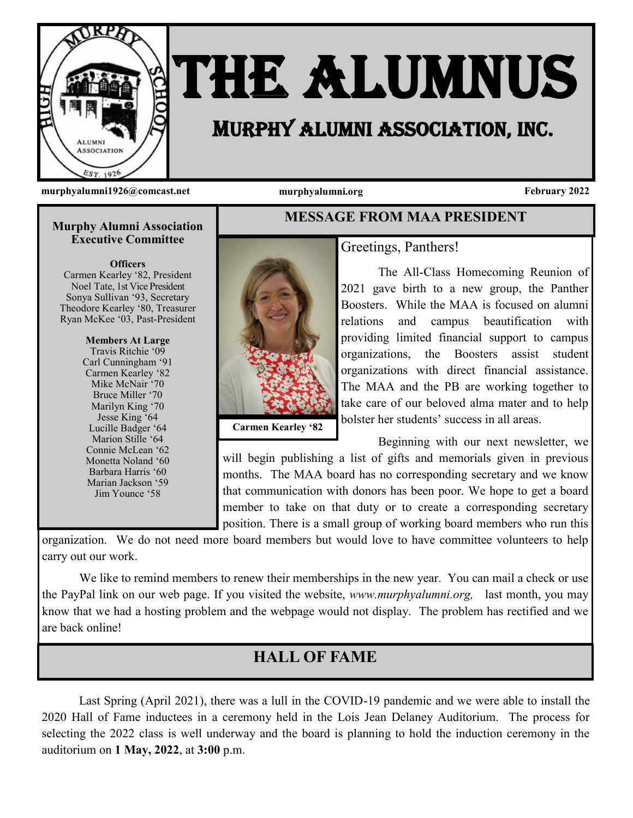

# THE ALUMNUS

## MURPHY ALUMNI ASSOCIATION, Inc.

**murphyalumni1926@comcast.net murphyalumni.org February 2022**

#### **Murphy Alumni Association Executive Committee**

#### **Officers**

Carmen Kearley '82, President Noel Tate, 1st Vice President Sonya Sullivan '93, Secretary Theodore Kearley '80, Treasurer Ryan McKee '03, Past-President

> **Members At Large** Travis Ritchie '09 Carl Cunningham '91 Carmen Kearley '82 Mike McNair '70 Bruce Miller '70 Marilyn King '70 Jesse King '64 Lucille Badger '64 Marion Stille '64 Connie McLean '62 Monetta Noland '60 Barbara Harris '60 Marian Jackson '59 Jim Younce '58



#### Greetings, Panthers!

**MESSAGE FROM MAA PRESIDENT**

The All-Class Homecoming Reunion of 2021 gave birth to a new group, the Panther Boosters. While the MAA is focused on alumni relations and campus beautification with providing limited financial support to campus organizations, the Boosters assist student organizations with direct financial assistance. The MAA and the PB are working together to take care of our beloved alma mater and to help bolster her students' success in all areas.

Beginning with our next newsletter, we will begin publishing a list of gifts and memorials given in previous months. The MAA board has no corresponding secretary and we know that communication with donors has been poor. We hope to get a board member to take on that duty or to create a corresponding secretary position. There is a small group of working board members who run this

organization. We do not need more board members but would love to have committee volunteers to help carry out our work.

We like to remind members to renew their memberships in the new year. You can mail a check or use the PayPal link on our web page. If you visited the website, *www.murphyalumni.org,* last month, you may know that we had a hosting problem and the webpage would not display. The problem has rectified and we are back online!

## **HALL OF FAME**

Last Spring (April 2021), there was a lull in the COVID-19 pandemic and we were able to install the 2020 Hall of Fame inductees in a ceremony held in the Lois Jean Delaney Auditorium. The process for selecting the 2022 class is well underway and the board is planning to hold the induction ceremony in the auditorium on **1 May, 2022**, at **3:00** p.m.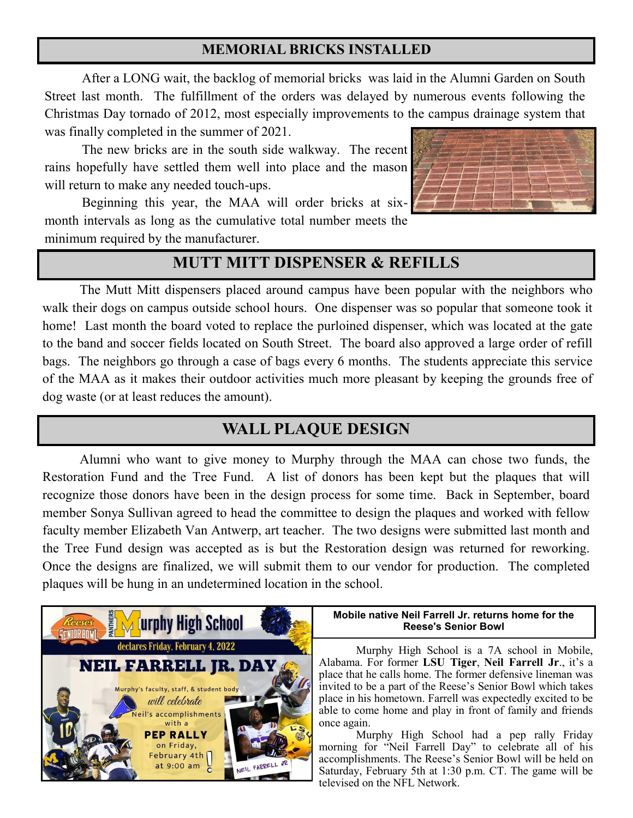#### **MEMORIAL BRICKS INSTALLED**

After a LONG wait, the backlog of memorial bricks was laid in the Alumni Garden on South Street last month. The fulfillment of the orders was delayed by numerous events following the Christmas Day tornado of 2012, most especially improvements to the campus drainage system that was finally completed in the summer of 2021.

The new bricks are in the south side walkway. The recent rains hopefully have settled them well into place and the mason will return to make any needed touch-ups.

Beginning this year, the MAA will order bricks at sixmonth intervals as long as the cumulative total number meets the minimum required by the manufacturer.

## **MUTT MITT DISPENSER & REFILLS**

The Mutt Mitt dispensers placed around campus have been popular with the neighbors who walk their dogs on campus outside school hours. One dispenser was so popular that someone took it home! Last month the board voted to replace the purloined dispenser, which was located at the gate to the band and soccer fields located on South Street. The board also approved a large order of refill bags. The neighbors go through a case of bags every 6 months. The students appreciate this service of the MAA as it makes their outdoor activities much more pleasant by keeping the grounds free of dog waste (or at least reduces the amount).

## **WALL PLAQUE DESIGN**

Alumni who want to give money to Murphy through the MAA can chose two funds, the Restoration Fund and the Tree Fund. A list of donors has been kept but the plaques that will recognize those donors have been in the design process for some time. Back in September, board member Sonya Sullivan agreed to head the committee to design the plaques and worked with fellow faculty member Elizabeth Van Antwerp, art teacher. The two designs were submitted last month and the Tree Fund design was accepted as is but the Restoration design was returned for reworking. Once the designs are finalized, we will submit them to our vendor for production. The completed plaques will be hung in an undetermined location in the school.



#### **Mobile native Neil Farrell Jr. returns home for the Reese's Senior Bowl**

Murphy High School is a 7A school in Mobile, Alabama. For former **LSU Tiger**, **Neil Farrell Jr**., it's a place that he calls home. The former defensive lineman was invited to be a part of the Reese's Senior Bowl which takes place in his hometown. Farrell was expectedly excited to be able to come home and play in front of family and friends once again.

Murphy High School had a pep rally Friday morning for "Neil Farrell Day" to celebrate all of his accomplishments. The Reese's Senior Bowl will be held on Saturday, February 5th at 1:30 p.m. CT. The game will be televised on the NFL Network.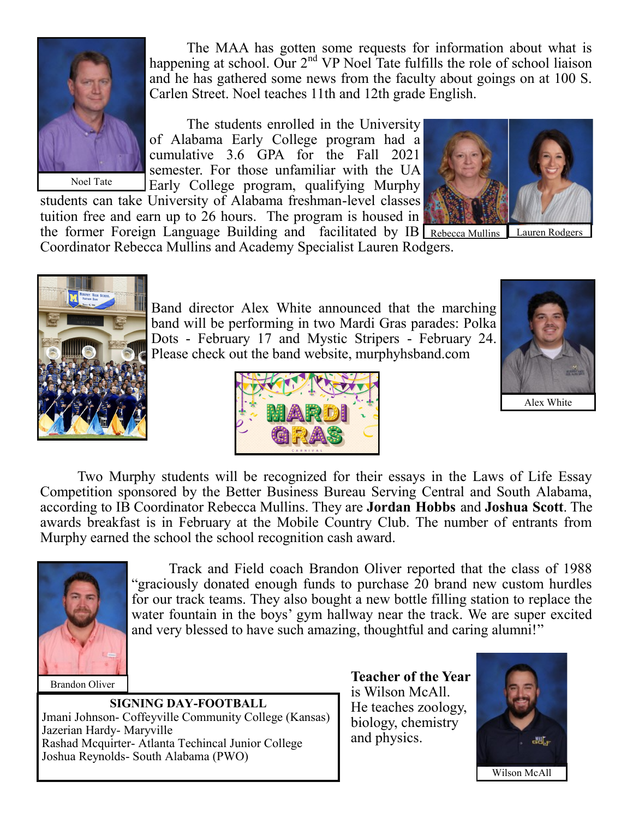

The MAA has gotten some requests for information about what is happening at school. Our  $2^{nd}$  VP Noel Tate fulfills the role of school liaison and he has gathered some news from the faculty about goings on at 100 S. Carlen Street. Noel teaches 11th and 12th grade English.

The students enrolled in the University of Alabama Early College program had a cumulative 3.6 GPA for the Fall 2021 semester. For those unfamiliar with the UA Early College program, qualifying Murphy



students can take University of Alabama freshman-level classes tuition free and earn up to 26 hours. The program is housed in the former Foreign Language Building and facilitated by IB Rebecca Mullins Lauren Rodgers Coordinator Rebecca Mullins and Academy Specialist Lauren Rodgers.



Band director Alex White announced that the marching band will be performing in two Mardi Gras parades: Polka Dots - February 17 and Mystic Stripers - February 24. Please check out the band website, murphyhsband.com





Two Murphy students will be recognized for their essays in the Laws of Life Essay Competition sponsored by the Better Business Bureau Serving Central and South Alabama, according to IB Coordinator Rebecca Mullins. They are **Jordan Hobbs** and **Joshua Scott**. The awards breakfast is in February at the Mobile Country Club. The number of entrants from Murphy earned the school the school recognition cash award.



Track and Field coach Brandon Oliver reported that the class of 1988 "graciously donated enough funds to purchase 20 brand new custom hurdles for our track teams. They also bought a new bottle filling station to replace the water fountain in the boys' gym hallway near the track. We are super excited and very blessed to have such amazing, thoughtful and caring alumni!"

Brandon Oliver

**SIGNING DAY-FOOTBALL** Jmani Johnson- Coffeyville Community College (Kansas) Jazerian Hardy- Maryville Rashad Mcquirter- Atlanta Techincal Junior College Joshua Reynolds- South Alabama (PWO)

**Teacher of the Year**  is Wilson McAll. He teaches zoology, biology, chemistry and physics.